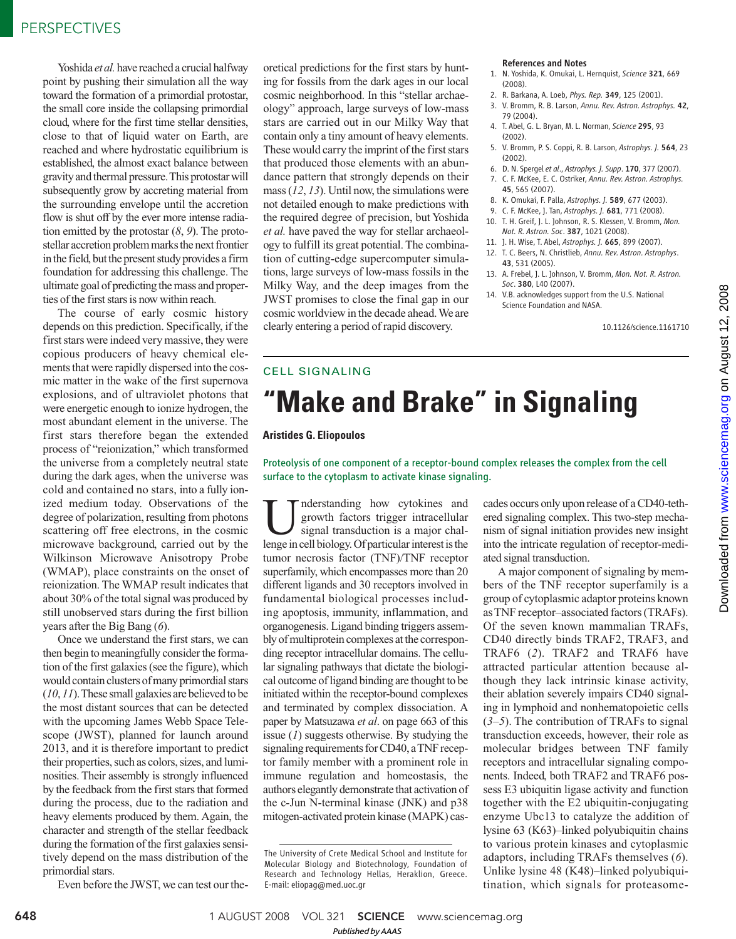Yoshida *et al.* have reached a crucial halfway point by pushing their simulation all the way toward the formation of a primordial protostar, the small core inside the collapsing primordial cloud, where for the first time stellar densities, close to that of liquid water on Earth, are reached and where hydrostatic equilibrium is established, the almost exact balance between gravity and thermal pressure. This protostar will subsequently grow by accreting material from the surrounding envelope until the accretion flow is shut off by the ever more intense radiation emitted by the protostar (*8*, *9*). The protostellar accretion problem marks the next frontier in the field, but the present study provides a firm foundation for addressing this challenge. The ultimate goal of predicting the mass and properties of the first stars is now within reach.

The course of early cosmic history depends on this prediction. Specifically, if the first stars were indeed very massive, they were copious producers of heavy chemical elements that were rapidly dispersed into the cosmic matter in the wake of the first supernova explosions, and of ultraviolet photons that were energetic enough to ionize hydrogen, the most abundant element in the universe. The first stars therefore began the extended process of "reionization," which transformed the universe from a completely neutral state during the dark ages, when the universe was cold and contained no stars, into a fully ionized medium today. Observations of the degree of polarization, resulting from photons scattering off free electrons, in the cosmic microwave background, carried out by the Wilkinson Microwave Anisotropy Probe (WMAP), place constraints on the onset of reionization. The WMAP result indicates that about 30% of the total signal was produced by still unobserved stars during the first billion years after the Big Bang (*6*).

Once we understand the first stars, we can then begin to meaningfully consider the formation of the first galaxies (see the figure), which would contain clusters of many primordial stars (*10*, *11*). These small galaxies are believed to be the most distant sources that can be detected with the upcoming James Webb Space Telescope (JWST), planned for launch around 2013, and it is therefore important to predict their properties, such as colors, sizes, and luminosities. Their assembly is strongly influenced by the feedback from the first stars that formed during the process, due to the radiation and heavy elements produced by them. Again, the character and strength of the stellar feedback during the formation of the first galaxies sensitively depend on the mass distribution of the primordial stars.

Even before the JWST, we can test our the-

oretical predictions for the first stars by hunting for fossils from the dark ages in our local cosmic neighborhood. In this "stellar archaeology" approach, large surveys of low-mass stars are carried out in our Milky Way that contain only a tiny amount of heavy elements. These would carry the imprint of the first stars that produced those elements with an abundance pattern that strongly depends on their mass (*12*, *13*). Until now, the simulations were not detailed enough to make predictions with the required degree of precision, but Yoshida *et al.* have paved the way for stellar archaeology to fulfill its great potential. The combination of cutting-edge supercomputer simulations, large surveys of low-mass fossils in the Milky Way, and the deep images from the JWST promises to close the final gap in our cosmic worldview in the decade ahead. We are clearly entering a period of rapid discovery.

#### References and Notes

- 1. N. Yoshida, K. Omukai, L. Hernquist, *Science* 321, 669 (2008).
- 2. R. Barkana, A. Loeb, *Phys. Rep.* 349, 125 (2001).
- 3. V. Bromm, R. B. Larson, *Annu. Rev. Astron. Astrophys.* 42, 79 (2004).
- 4. T. Abel, G. L. Bryan, M. L. Norman, *Science* 295, 93 (2002).
- 5. V. Bromm, P. S. Coppi, R. B. Larson, *Astrophys. J.* 564, 23 (2002).
- 6. D. N. Spergel *et al*., *Astrophys. J. Supp*. 170, 377 (2007).
- 7. C. F. McKee, E. C. Ostriker, *Annu. Rev. Astron. Astrophys.* 45, 565 (2007).
- 8. K. Omukai, F. Palla, *Astrophys. J.* 589, 677 (2003).
- 9. C. F. McKee, J. Tan, *Astrophys. J.* 681, 771 (2008).
- 10. T. H. Greif, J. L. Johnson, R. S. Klessen, V. Bromm, *Mon. Not. R. Astron. Soc*. 387, 1021 (2008).
- 11. J. H. Wise, T. Abel, *Astrophys. J.* 665, 899 (2007).
- 12. T. C. Beers, N. Christlieb, *Annu. Rev. Astron. Astrophys*. 43, 531 (2005).
- 13. A. Frebel, J. L. Johnson, V. Bromm, *Mon. Not. R. Astron. Soc*. 380, L40 (2007).
- 14. V.B. acknowledges support from the U.S. National Science Foundation and NASA.

cades occurs only upon release of a CD40-tethered signaling complex. This two-step mechanism of signal initiation provides new insight into the intricate regulation of receptor-medi-

A major component of signaling by members of the TNF receptor superfamily is a group of cytoplasmic adaptor proteins known as TNF receptor–associated factors (TRAFs). Of the seven known mammalian TRAFs, CD40 directly binds TRAF2, TRAF3, and TRAF6 (*2*). TRAF2 and TRAF6 have attracted particular attention because although they lack intrinsic kinase activity, their ablation severely impairs CD40 signaling in lymphoid and nonhematopoietic cells (*3–5*). The contribution of TRAFs to signal transduction exceeds, however, their role as molecular bridges between TNF family receptors and intracellular signaling components. Indeed, both TRAF2 and TRAF6 possess E3 ubiquitin ligase activity and function together with the E2 ubiquitin-conjugating enzyme Ubc13 to catalyze the addition of lysine 63 (K63)–linked polyubiquitin chains to various protein kinases and cytoplasmic adaptors, including TRAFs themselves (*6*). Unlike lysine 48 (K48)–linked polyubiquitination, which signals for proteasome-

ated signal transduction.

10.1126/science.1161710

# CELL SIGNALING

# **"Make and Brake" in Signaling**

## **Aristides G. Eliopoulos**

Proteolysis of one component of a receptor-bound complex releases the complex from the cell surface to the cytoplasm to activate kinase signaling.

U nderstanding how cytokines and growth factors trigger intracellular signal transduction is a major challenge in cell biology. Of particular interest is the nderstanding how cytokines and growth factors trigger intracellular signal transduction is a major chaltumor necrosis factor (TNF)/TNF receptor superfamily, which encompasses more than 20 different ligands and 30 receptors involved in fundamental biological processes including apoptosis, immunity, inflammation, and organogenesis. Ligand binding triggers assembly of multiprotein complexes at the corresponding receptor intracellular domains. The cellular signaling pathways that dictate the biological outcome of ligand binding are thought to be initiated within the receptor-bound complexes and terminated by complex dissociation. A paper by Matsuzawa *et al*. on page 663 of this issue (*1*) suggests otherwise. By studying the signaling requirements for CD40, a TNF receptor family member with a prominent role in immune regulation and homeostasis, the authors elegantly demonstrate that activation of the c-Jun N-terminal kinase (JNK) and p38 mitogen-activated protein kinase (MAPK) cas-

www.sciencemag.orgon August 12, 2008 Downloaded from www.sciencemag.org on August 12, 2008 Downloaded from

648 1 AUGUST 2008 VOL 321 SCIENCE www.sciencemag.org *Published byAAAS*

The University of Crete Medical School and Institute for Molecular Biology and Biotechnology, Foundation of Research and Technology Hellas, Heraklion, Greece. E-mail: eliopag@med.uoc.gr